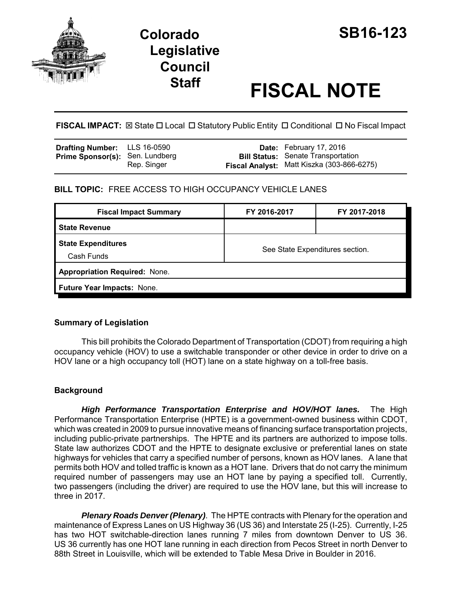

# **Staff FISCAL NOTE**

**FISCAL IMPACT:**  $\boxtimes$  State  $\Box$  Local  $\Box$  Statutory Public Entity  $\Box$  Conditional  $\Box$  No Fiscal Impact

| <b>Drafting Number:</b> LLS 16-0590    |             | <b>Date:</b> February 17, 2016                                                          |
|----------------------------------------|-------------|-----------------------------------------------------------------------------------------|
| <b>Prime Sponsor(s): Sen. Lundberg</b> | Rep. Singer | <b>Bill Status:</b> Senate Transportation<br>Fiscal Analyst: Matt Kiszka (303-866-6275) |

**BILL TOPIC:** FREE ACCESS TO HIGH OCCUPANCY VEHICLE LANES

| <b>Fiscal Impact Summary</b>            | FY 2016-2017                    | FY 2017-2018 |  |  |  |
|-----------------------------------------|---------------------------------|--------------|--|--|--|
| <b>State Revenue</b>                    |                                 |              |  |  |  |
| <b>State Expenditures</b><br>Cash Funds | See State Expenditures section. |              |  |  |  |
| <b>Appropriation Required: None.</b>    |                                 |              |  |  |  |
| Future Year Impacts: None.              |                                 |              |  |  |  |

## **Summary of Legislation**

This bill prohibits the Colorado Department of Transportation (CDOT) from requiring a high occupancy vehicle (HOV) to use a switchable transponder or other device in order to drive on a HOV lane or a high occupancy toll (HOT) lane on a state highway on a toll-free basis.

## **Background**

*High Performance Transportation Enterprise and HOV/HOT lanes.* The High Performance Transportation Enterprise (HPTE) is a government-owned business within CDOT, which was created in 2009 to pursue innovative means of financing surface transportation projects, including public-private partnerships. The HPTE and its partners are authorized to impose tolls. State law authorizes CDOT and the HPTE to designate exclusive or preferential lanes on state highways for vehicles that carry a specified number of persons, known as HOV lanes. A lane that permits both HOV and tolled traffic is known as a HOT lane. Drivers that do not carry the minimum required number of passengers may use an HOT lane by paying a specified toll. Currently, two passengers (including the driver) are required to use the HOV lane, but this will increase to three in 2017.

*Plenary Roads Denver (Plenary)*. The HPTE contracts with Plenary for the operation and maintenance of Express Lanes on US Highway 36 (US 36) and Interstate 25 (I-25). Currently, I-25 has two HOT switchable-direction lanes running 7 miles from downtown Denver to US 36. US 36 currently has one HOT lane running in each direction from Pecos Street in north Denver to 88th Street in Louisville, which will be extended to Table Mesa Drive in Boulder in 2016.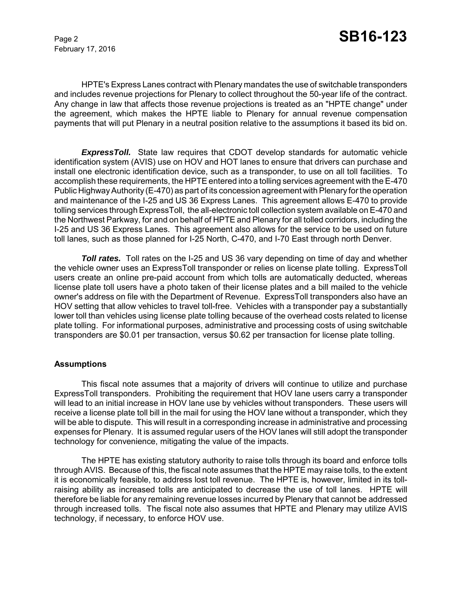February 17, 2016

HPTE's Express Lanes contract with Plenary mandates the use of switchable transponders and includes revenue projections for Plenary to collect throughout the 50-year life of the contract. Any change in law that affects those revenue projections is treated as an "HPTE change" under the agreement, which makes the HPTE liable to Plenary for annual revenue compensation payments that will put Plenary in a neutral position relative to the assumptions it based its bid on.

*ExpressToll.* State law requires that CDOT develop standards for automatic vehicle identification system (AVIS) use on HOV and HOT lanes to ensure that drivers can purchase and install one electronic identification device, such as a transponder, to use on all toll facilities. To accomplish these requirements, the HPTE entered into a tolling services agreement with the E-470 Public Highway Authority (E-470) as part of its concession agreement with Plenary for the operation and maintenance of the I-25 and US 36 Express Lanes. This agreement allows E-470 to provide tolling services through ExpressToll, the all-electronic toll collection system available on E-470 and the Northwest Parkway, for and on behalf of HPTE and Plenary for all tolled corridors, including the I-25 and US 36 Express Lanes. This agreement also allows for the service to be used on future toll lanes, such as those planned for I-25 North, C-470, and I-70 East through north Denver.

**Toll rates.** Toll rates on the I-25 and US 36 vary depending on time of day and whether the vehicle owner uses an ExpressToll transponder or relies on license plate tolling. ExpressToll users create an online pre-paid account from which tolls are automatically deducted, whereas license plate toll users have a photo taken of their license plates and a bill mailed to the vehicle owner's address on file with the Department of Revenue. ExpressToll transponders also have an HOV setting that allow vehicles to travel toll-free. Vehicles with a transponder pay a substantially lower toll than vehicles using license plate tolling because of the overhead costs related to license plate tolling. For informational purposes, administrative and processing costs of using switchable transponders are \$0.01 per transaction, versus \$0.62 per transaction for license plate tolling.

#### **Assumptions**

This fiscal note assumes that a majority of drivers will continue to utilize and purchase ExpressToll transponders. Prohibiting the requirement that HOV lane users carry a transponder will lead to an initial increase in HOV lane use by vehicles without transponders. These users will receive a license plate toll bill in the mail for using the HOV lane without a transponder, which they will be able to dispute. This will result in a corresponding increase in administrative and processing expenses for Plenary. It is assumed regular users of the HOV lanes will still adopt the transponder technology for convenience, mitigating the value of the impacts.

The HPTE has existing statutory authority to raise tolls through its board and enforce tolls through AVIS. Because of this, the fiscal note assumes that the HPTE may raise tolls, to the extent it is economically feasible, to address lost toll revenue. The HPTE is, however, limited in its tollraising ability as increased tolls are anticipated to decrease the use of toll lanes. HPTE will therefore be liable for any remaining revenue losses incurred by Plenary that cannot be addressed through increased tolls. The fiscal note also assumes that HPTE and Plenary may utilize AVIS technology, if necessary, to enforce HOV use.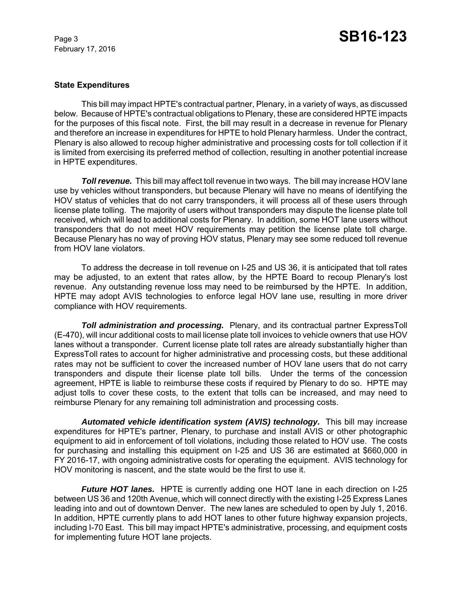February 17, 2016

#### **State Expenditures**

This bill may impact HPTE's contractual partner, Plenary, in a variety of ways, as discussed below. Because of HPTE's contractual obligations to Plenary, these are considered HPTE impacts for the purposes of this fiscal note. First, the bill may result in a decrease in revenue for Plenary and therefore an increase in expenditures for HPTE to hold Plenary harmless. Under the contract, Plenary is also allowed to recoup higher administrative and processing costs for toll collection if it is limited from exercising its preferred method of collection, resulting in another potential increase in HPTE expenditures.

**Toll revenue.** This bill may affect toll revenue in two ways. The bill may increase HOV lane use by vehicles without transponders, but because Plenary will have no means of identifying the HOV status of vehicles that do not carry transponders, it will process all of these users through license plate tolling. The majority of users without transponders may dispute the license plate toll received, which will lead to additional costs for Plenary. In addition, some HOT lane users without transponders that do not meet HOV requirements may petition the license plate toll charge. Because Plenary has no way of proving HOV status, Plenary may see some reduced toll revenue from HOV lane violators.

To address the decrease in toll revenue on I-25 and US 36, it is anticipated that toll rates may be adjusted, to an extent that rates allow, by the HPTE Board to recoup Plenary's lost revenue. Any outstanding revenue loss may need to be reimbursed by the HPTE. In addition, HPTE may adopt AVIS technologies to enforce legal HOV lane use, resulting in more driver compliance with HOV requirements.

*Toll administration and processing.* Plenary, and its contractual partner ExpressToll (E-470), will incur additional costs to mail license plate toll invoices to vehicle owners that use HOV lanes without a transponder. Current license plate toll rates are already substantially higher than ExpressToll rates to account for higher administrative and processing costs, but these additional rates may not be sufficient to cover the increased number of HOV lane users that do not carry transponders and dispute their license plate toll bills. Under the terms of the concession agreement, HPTE is liable to reimburse these costs if required by Plenary to do so. HPTE may adjust tolls to cover these costs, to the extent that tolls can be increased, and may need to reimburse Plenary for any remaining toll administration and processing costs.

Automated vehicle *identification system (AVIS) technology*. This bill may increase expenditures for HPTE's partner, Plenary, to purchase and install AVIS or other photographic equipment to aid in enforcement of toll violations, including those related to HOV use. The costs for purchasing and installing this equipment on I-25 and US 36 are estimated at \$660,000 in FY 2016-17, with ongoing administrative costs for operating the equipment. AVIS technology for HOV monitoring is nascent, and the state would be the first to use it.

*Future HOT lanes.* HPTE is currently adding one HOT lane in each direction on I-25 between US 36 and 120th Avenue, which will connect directly with the existing I-25 Express Lanes leading into and out of downtown Denver. The new lanes are scheduled to open by July 1, 2016. In addition, HPTE currently plans to add HOT lanes to other future highway expansion projects, including I-70 East. This bill may impact HPTE's administrative, processing, and equipment costs for implementing future HOT lane projects.